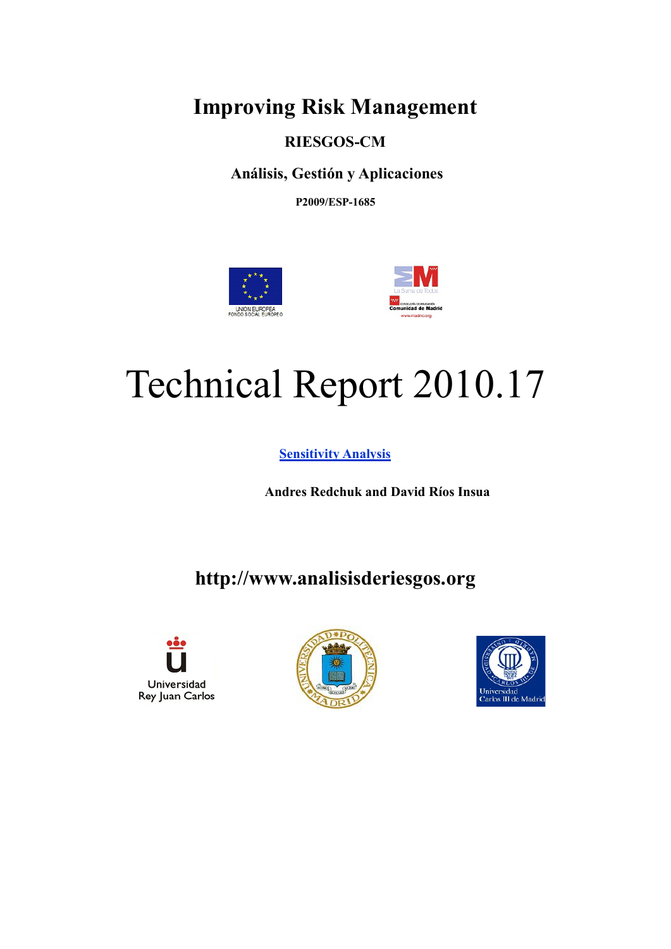**Improving Risk Management** 

## **RIESGOS-CM**

**Análisis, Gestión y Aplicaciones** 

**P2009/ESP-1685** 





# Technical Report 2010.17

**Sensitivity Analysis**

**Andres Redchuk and David Ríos Insua**

**http://www.analisisderiesgos.org**





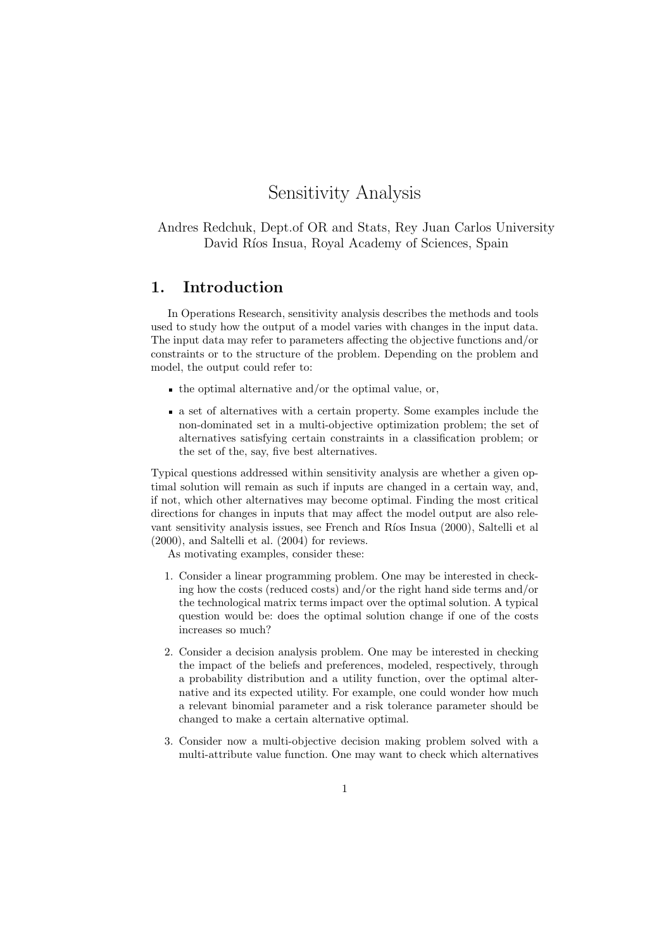# Sensitivity Analysis

## Andres Redchuk, Dept.of OR and Stats, Rey Juan Carlos University David Ríos Insua, Royal Academy of Sciences, Spain

## 1. Introduction

In Operations Research, sensitivity analysis describes the methods and tools used to study how the output of a model varies with changes in the input data. The input data may refer to parameters affecting the objective functions and/or constraints or to the structure of the problem. Depending on the problem and model, the output could refer to:

- $\bullet$  the optimal alternative and/or the optimal value, or,
- a set of alternatives with a certain property. Some examples include the non-dominated set in a multi-objective optimization problem; the set of alternatives satisfying certain constraints in a classification problem; or the set of the, say, five best alternatives.

Typical questions addressed within sensitivity analysis are whether a given optimal solution will remain as such if inputs are changed in a certain way, and, if not, which other alternatives may become optimal. Finding the most critical directions for changes in inputs that may affect the model output are also relevant sensitivity analysis issues, see French and Ríos Insua (2000), Saltelli et al (2000), and Saltelli et al. (2004) for reviews.

As motivating examples, consider these:

- 1. Consider a linear programming problem. One may be interested in checking how the costs (reduced costs) and/or the right hand side terms and/or the technological matrix terms impact over the optimal solution. A typical question would be: does the optimal solution change if one of the costs increases so much?
- 2. Consider a decision analysis problem. One may be interested in checking the impact of the beliefs and preferences, modeled, respectively, through a probability distribution and a utility function, over the optimal alternative and its expected utility. For example, one could wonder how much a relevant binomial parameter and a risk tolerance parameter should be changed to make a certain alternative optimal.
- 3. Consider now a multi-objective decision making problem solved with a multi-attribute value function. One may want to check which alternatives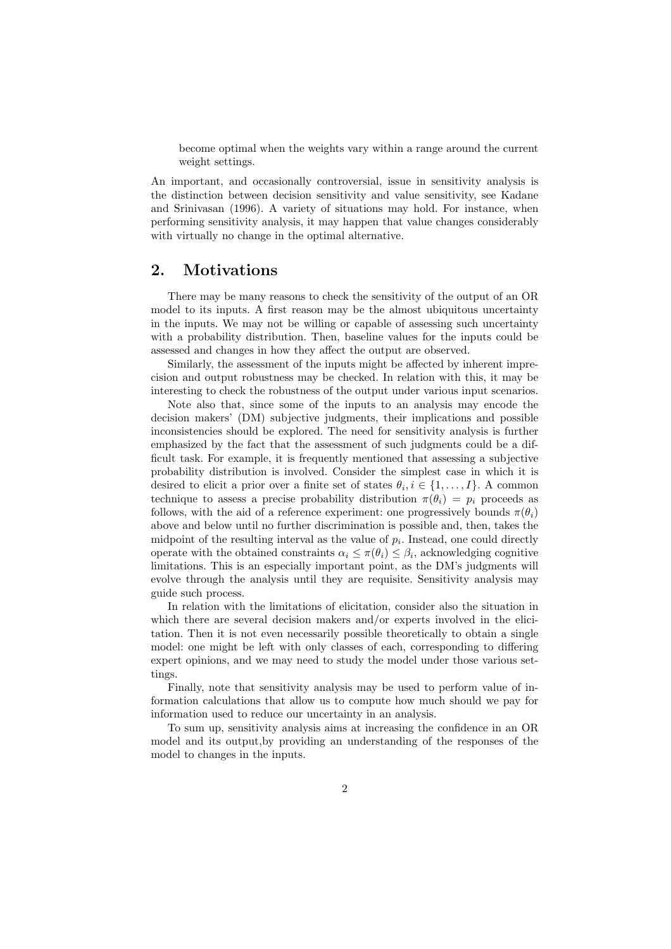become optimal when the weights vary within a range around the current weight settings.

An important, and occasionally controversial, issue in sensitivity analysis is the distinction between decision sensitivity and value sensitivity, see Kadane and Srinivasan (1996). A variety of situations may hold. For instance, when performing sensitivity analysis, it may happen that value changes considerably with virtually no change in the optimal alternative.

## 2. Motivations

There may be many reasons to check the sensitivity of the output of an OR model to its inputs. A first reason may be the almost ubiquitous uncertainty in the inputs. We may not be willing or capable of assessing such uncertainty with a probability distribution. Then, baseline values for the inputs could be assessed and changes in how they affect the output are observed.

Similarly, the assessment of the inputs might be affected by inherent imprecision and output robustness may be checked. In relation with this, it may be interesting to check the robustness of the output under various input scenarios.

Note also that, since some of the inputs to an analysis may encode the decision makers' (DM) subjective judgments, their implications and possible inconsistencies should be explored. The need for sensitivity analysis is further emphasized by the fact that the assessment of such judgments could be a difficult task. For example, it is frequently mentioned that assessing a subjective probability distribution is involved. Consider the simplest case in which it is desired to elicit a prior over a finite set of states  $\theta_i, i \in \{1, \ldots, I\}$ . A common technique to assess a precise probability distribution  $\pi(\theta_i) = p_i$  proceeds as follows, with the aid of a reference experiment: one progressively bounds  $\pi(\theta_i)$ above and below until no further discrimination is possible and, then, takes the midpoint of the resulting interval as the value of  $p_i$ . Instead, one could directly operate with the obtained constraints  $\alpha_i \leq \pi(\theta_i) \leq \beta_i$ , acknowledging cognitive limitations. This is an especially important point, as the DM's judgments will evolve through the analysis until they are requisite. Sensitivity analysis may guide such process.

In relation with the limitations of elicitation, consider also the situation in which there are several decision makers and/or experts involved in the elicitation. Then it is not even necessarily possible theoretically to obtain a single model: one might be left with only classes of each, corresponding to differing expert opinions, and we may need to study the model under those various settings.

Finally, note that sensitivity analysis may be used to perform value of information calculations that allow us to compute how much should we pay for information used to reduce our uncertainty in an analysis.

To sum up, sensitivity analysis aims at increasing the confidence in an OR model and its output,by providing an understanding of the responses of the model to changes in the inputs.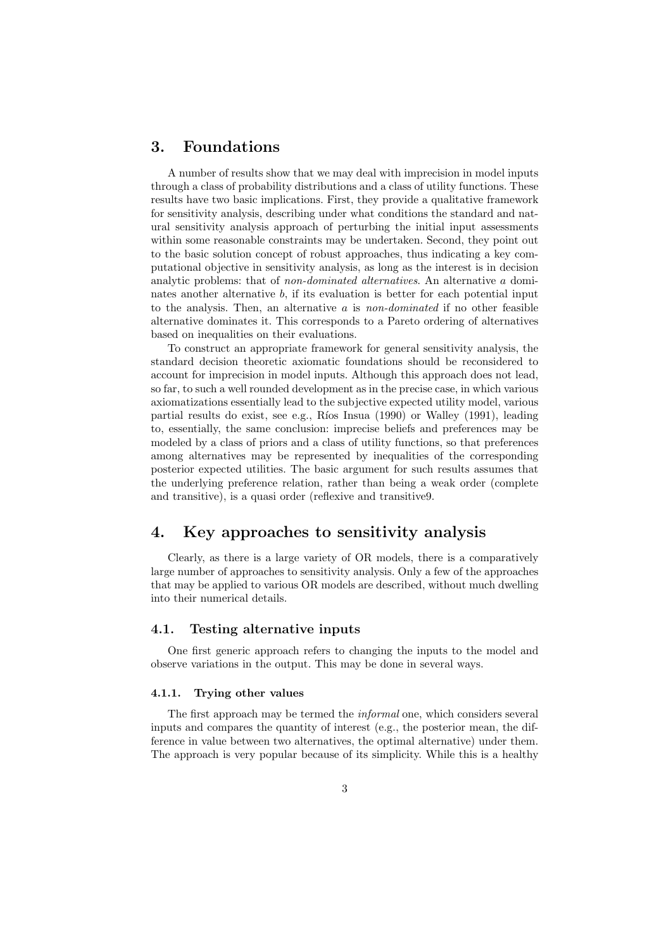## 3. Foundations

A number of results show that we may deal with imprecision in model inputs through a class of probability distributions and a class of utility functions. These results have two basic implications. First, they provide a qualitative framework for sensitivity analysis, describing under what conditions the standard and natural sensitivity analysis approach of perturbing the initial input assessments within some reasonable constraints may be undertaken. Second, they point out to the basic solution concept of robust approaches, thus indicating a key computational objective in sensitivity analysis, as long as the interest is in decision analytic problems: that of non-dominated alternatives. An alternative a dominates another alternative b, if its evaluation is better for each potential input to the analysis. Then, an alternative  $a$  is non-dominated if no other feasible alternative dominates it. This corresponds to a Pareto ordering of alternatives based on inequalities on their evaluations.

To construct an appropriate framework for general sensitivity analysis, the standard decision theoretic axiomatic foundations should be reconsidered to account for imprecision in model inputs. Although this approach does not lead, so far, to such a well rounded development as in the precise case, in which various axiomatizations essentially lead to the subjective expected utility model, various partial results do exist, see e.g., Ríos Insua (1990) or Walley (1991), leading to, essentially, the same conclusion: imprecise beliefs and preferences may be modeled by a class of priors and a class of utility functions, so that preferences among alternatives may be represented by inequalities of the corresponding posterior expected utilities. The basic argument for such results assumes that the underlying preference relation, rather than being a weak order (complete and transitive), is a quasi order (reflexive and transitive9.

## 4. Key approaches to sensitivity analysis

Clearly, as there is a large variety of OR models, there is a comparatively large number of approaches to sensitivity analysis. Only a few of the approaches that may be applied to various OR models are described, without much dwelling into their numerical details.

#### 4.1. Testing alternative inputs

One first generic approach refers to changing the inputs to the model and observe variations in the output. This may be done in several ways.

#### 4.1.1. Trying other values

The first approach may be termed the informal one, which considers several inputs and compares the quantity of interest (e.g., the posterior mean, the difference in value between two alternatives, the optimal alternative) under them. The approach is very popular because of its simplicity. While this is a healthy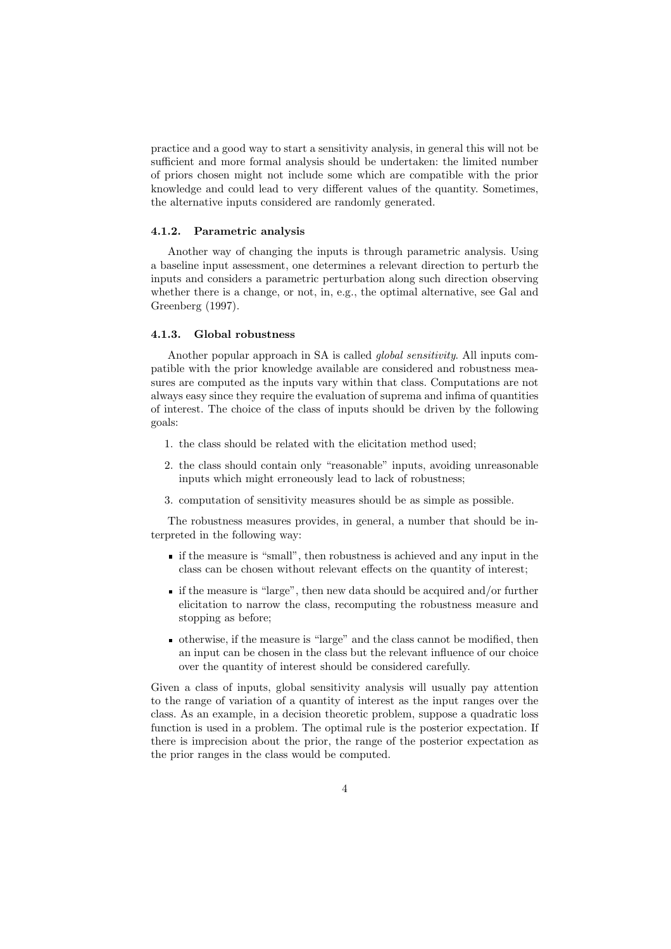practice and a good way to start a sensitivity analysis, in general this will not be sufficient and more formal analysis should be undertaken: the limited number of priors chosen might not include some which are compatible with the prior knowledge and could lead to very different values of the quantity. Sometimes, the alternative inputs considered are randomly generated.

#### 4.1.2. Parametric analysis

Another way of changing the inputs is through parametric analysis. Using a baseline input assessment, one determines a relevant direction to perturb the inputs and considers a parametric perturbation along such direction observing whether there is a change, or not, in, e.g., the optimal alternative, see Gal and Greenberg (1997).

#### 4.1.3. Global robustness

Another popular approach in SA is called global sensitivity. All inputs compatible with the prior knowledge available are considered and robustness measures are computed as the inputs vary within that class. Computations are not always easy since they require the evaluation of suprema and infima of quantities of interest. The choice of the class of inputs should be driven by the following goals:

- 1. the class should be related with the elicitation method used;
- 2. the class should contain only "reasonable" inputs, avoiding unreasonable inputs which might erroneously lead to lack of robustness;
- 3. computation of sensitivity measures should be as simple as possible.

The robustness measures provides, in general, a number that should be interpreted in the following way:

- if the measure is "small", then robustness is achieved and any input in the class can be chosen without relevant effects on the quantity of interest;
- if the measure is "large", then new data should be acquired and/or further elicitation to narrow the class, recomputing the robustness measure and stopping as before;
- otherwise, if the measure is "large" and the class cannot be modified, then an input can be chosen in the class but the relevant influence of our choice over the quantity of interest should be considered carefully.

Given a class of inputs, global sensitivity analysis will usually pay attention to the range of variation of a quantity of interest as the input ranges over the class. As an example, in a decision theoretic problem, suppose a quadratic loss function is used in a problem. The optimal rule is the posterior expectation. If there is imprecision about the prior, the range of the posterior expectation as the prior ranges in the class would be computed.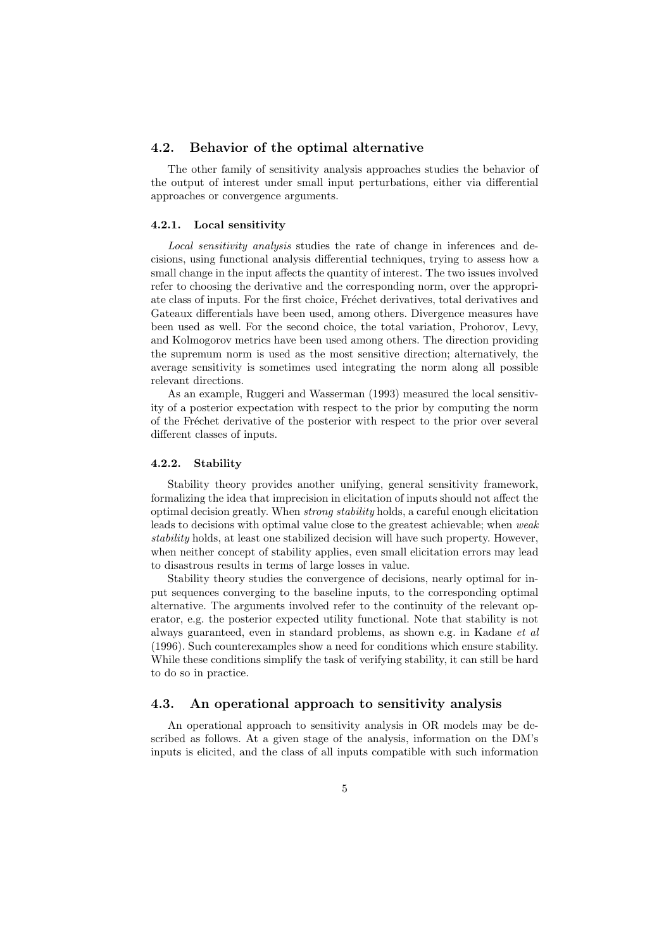#### 4.2. Behavior of the optimal alternative

The other family of sensitivity analysis approaches studies the behavior of the output of interest under small input perturbations, either via differential approaches or convergence arguments.

#### 4.2.1. Local sensitivity

Local sensitivity analysis studies the rate of change in inferences and decisions, using functional analysis differential techniques, trying to assess how a small change in the input affects the quantity of interest. The two issues involved refer to choosing the derivative and the corresponding norm, over the appropriate class of inputs. For the first choice, Fréchet derivatives, total derivatives and Gateaux differentials have been used, among others. Divergence measures have been used as well. For the second choice, the total variation, Prohorov, Levy, and Kolmogorov metrics have been used among others. The direction providing the supremum norm is used as the most sensitive direction; alternatively, the average sensitivity is sometimes used integrating the norm along all possible relevant directions.

As an example, Ruggeri and Wasserman (1993) measured the local sensitivity of a posterior expectation with respect to the prior by computing the norm of the Fréchet derivative of the posterior with respect to the prior over several different classes of inputs.

#### 4.2.2. Stability

Stability theory provides another unifying, general sensitivity framework, formalizing the idea that imprecision in elicitation of inputs should not affect the optimal decision greatly. When strong stability holds, a careful enough elicitation leads to decisions with optimal value close to the greatest achievable; when weak stability holds, at least one stabilized decision will have such property. However, when neither concept of stability applies, even small elicitation errors may lead to disastrous results in terms of large losses in value.

Stability theory studies the convergence of decisions, nearly optimal for input sequences converging to the baseline inputs, to the corresponding optimal alternative. The arguments involved refer to the continuity of the relevant operator, e.g. the posterior expected utility functional. Note that stability is not always guaranteed, even in standard problems, as shown e.g. in Kadane et al (1996). Such counterexamples show a need for conditions which ensure stability. While these conditions simplify the task of verifying stability, it can still be hard to do so in practice.

#### 4.3. An operational approach to sensitivity analysis

An operational approach to sensitivity analysis in OR models may be described as follows. At a given stage of the analysis, information on the DM's inputs is elicited, and the class of all inputs compatible with such information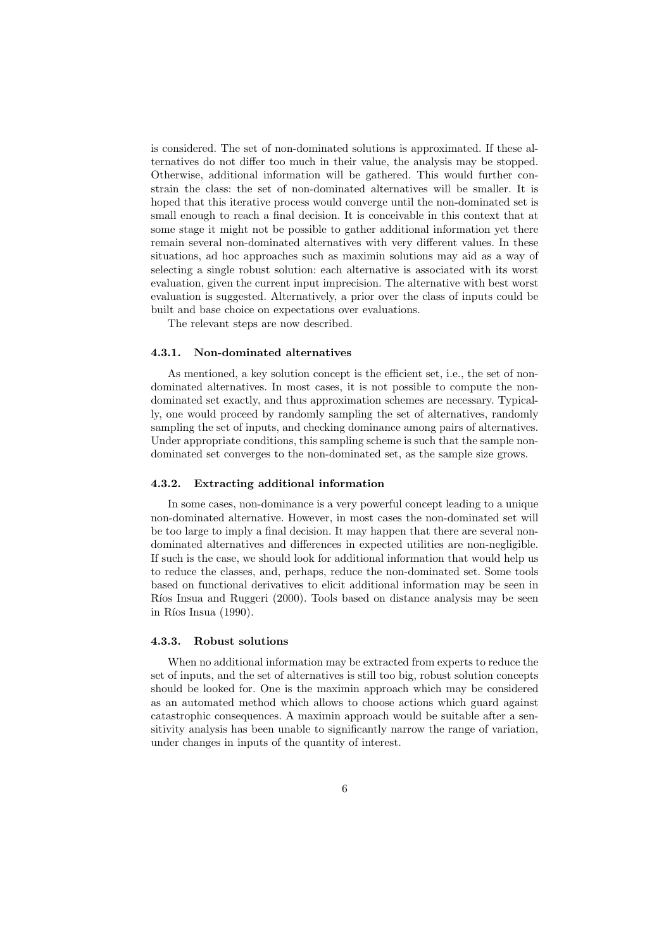is considered. The set of non-dominated solutions is approximated. If these alternatives do not differ too much in their value, the analysis may be stopped. Otherwise, additional information will be gathered. This would further constrain the class: the set of non-dominated alternatives will be smaller. It is hoped that this iterative process would converge until the non-dominated set is small enough to reach a final decision. It is conceivable in this context that at some stage it might not be possible to gather additional information yet there remain several non-dominated alternatives with very different values. In these situations, ad hoc approaches such as maximin solutions may aid as a way of selecting a single robust solution: each alternative is associated with its worst evaluation, given the current input imprecision. The alternative with best worst evaluation is suggested. Alternatively, a prior over the class of inputs could be built and base choice on expectations over evaluations.

The relevant steps are now described.

#### 4.3.1. Non-dominated alternatives

As mentioned, a key solution concept is the efficient set, i.e., the set of nondominated alternatives. In most cases, it is not possible to compute the nondominated set exactly, and thus approximation schemes are necessary. Typically, one would proceed by randomly sampling the set of alternatives, randomly sampling the set of inputs, and checking dominance among pairs of alternatives. Under appropriate conditions, this sampling scheme is such that the sample nondominated set converges to the non-dominated set, as the sample size grows.

#### 4.3.2. Extracting additional information

In some cases, non-dominance is a very powerful concept leading to a unique non-dominated alternative. However, in most cases the non-dominated set will be too large to imply a final decision. It may happen that there are several nondominated alternatives and differences in expected utilities are non-negligible. If such is the case, we should look for additional information that would help us to reduce the classes, and, perhaps, reduce the non-dominated set. Some tools based on functional derivatives to elicit additional information may be seen in Ríos Insua and Ruggeri (2000). Tools based on distance analysis may be seen in Ríos Insua  $(1990)$ .

#### 4.3.3. Robust solutions

When no additional information may be extracted from experts to reduce the set of inputs, and the set of alternatives is still too big, robust solution concepts should be looked for. One is the maximin approach which may be considered as an automated method which allows to choose actions which guard against catastrophic consequences. A maximin approach would be suitable after a sensitivity analysis has been unable to significantly narrow the range of variation, under changes in inputs of the quantity of interest.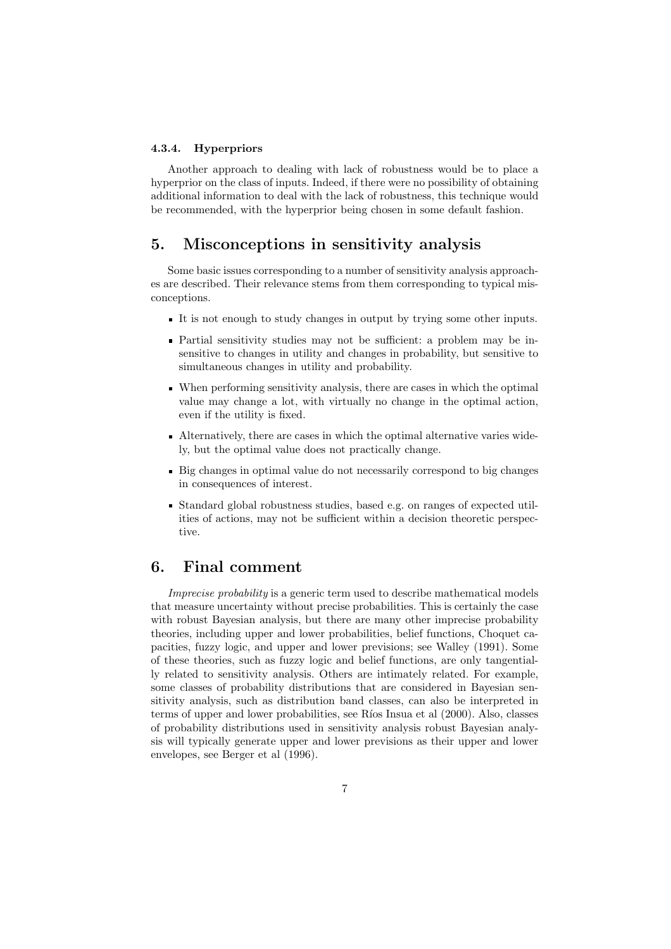#### 4.3.4. Hyperpriors

Another approach to dealing with lack of robustness would be to place a hyperprior on the class of inputs. Indeed, if there were no possibility of obtaining additional information to deal with the lack of robustness, this technique would be recommended, with the hyperprior being chosen in some default fashion.

## 5. Misconceptions in sensitivity analysis

Some basic issues corresponding to a number of sensitivity analysis approaches are described. Their relevance stems from them corresponding to typical misconceptions.

- It is not enough to study changes in output by trying some other inputs.
- Partial sensitivity studies may not be sufficient: a problem may be insensitive to changes in utility and changes in probability, but sensitive to simultaneous changes in utility and probability.
- When performing sensitivity analysis, there are cases in which the optimal value may change a lot, with virtually no change in the optimal action, even if the utility is fixed.
- Alternatively, there are cases in which the optimal alternative varies widely, but the optimal value does not practically change.
- Big changes in optimal value do not necessarily correspond to big changes in consequences of interest.
- Standard global robustness studies, based e.g. on ranges of expected utilities of actions, may not be sufficient within a decision theoretic perspective.

## 6. Final comment

Imprecise probability is a generic term used to describe mathematical models that measure uncertainty without precise probabilities. This is certainly the case with robust Bayesian analysis, but there are many other imprecise probability theories, including upper and lower probabilities, belief functions, Choquet capacities, fuzzy logic, and upper and lower previsions; see Walley (1991). Some of these theories, such as fuzzy logic and belief functions, are only tangentially related to sensitivity analysis. Others are intimately related. For example, some classes of probability distributions that are considered in Bayesian sensitivity analysis, such as distribution band classes, can also be interpreted in terms of upper and lower probabilities, see Ríos Insua et al (2000). Also, classes of probability distributions used in sensitivity analysis robust Bayesian analysis will typically generate upper and lower previsions as their upper and lower envelopes, see Berger et al (1996).